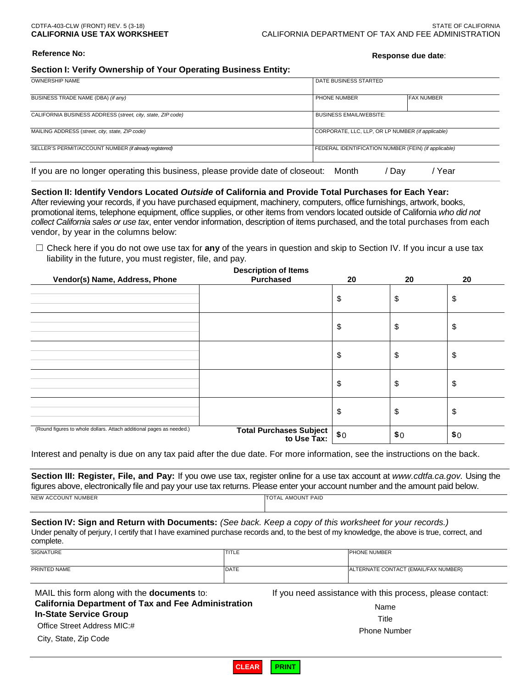# **Reference No: Response due date**:

### **Section I: Verify Ownership of Your Operating Business Entity:**

| <b>OWNERSHIP NAME</b>                                                          | DATE BUSINESS STARTED                                |                   |
|--------------------------------------------------------------------------------|------------------------------------------------------|-------------------|
|                                                                                |                                                      |                   |
| BUSINESS TRADE NAME (DBA) (if any)                                             | PHONE NUMBER                                         | <b>FAX NUMBER</b> |
|                                                                                |                                                      |                   |
| CALIFORNIA BUSINESS ADDRESS (street, city, state, ZIP code)                    | <b>BUSINESS EMAIL/WEBSITE:</b>                       |                   |
|                                                                                |                                                      |                   |
| MAILING ADDRESS (street, city, state, ZIP code)                                | CORPORATE, LLC, LLP, OR LP NUMBER (if applicable)    |                   |
|                                                                                |                                                      |                   |
| SELLER'S PERMIT/ACCOUNT NUMBER (if already registered)                         | FEDERAL IDENTIFICATION NUMBER (FEIN) (if applicable) |                   |
|                                                                                |                                                      |                   |
| If you are no longer operating this business, please provide date of closeout: | Month<br>Day                                         | Year              |

### **Section II: Identify Vendors Located** *Outside* **of California and Provide Total Purchases for Each Year:**

 After reviewing your records, if you have purchased equipment, machinery, computers, office furnishings, artwork, books, vendor, by year in the columns below: promotional items, telephone equipment, office supplies, or other items from vendors located outside of California *who did not collect California sales or use tax*, enter vendor information, description of items purchased, and the total purchases from each

☐ Check here if you do not owe use tax for **any** of the years in question and skip to Section IV. If you incur a use tax liability in the future, you must register, file, and pay.

| Vendor(s) Name, Address, Phone                                       | <b>Description of Items</b><br><b>Purchased</b> | 20  | 20  | 20  |
|----------------------------------------------------------------------|-------------------------------------------------|-----|-----|-----|
|                                                                      |                                                 | \$  | \$  | \$  |
|                                                                      |                                                 | \$  | \$  | \$  |
|                                                                      |                                                 | \$  | \$  | \$  |
|                                                                      |                                                 | \$  | \$  | \$  |
|                                                                      |                                                 | \$  | \$  | \$  |
| (Round figures to whole dollars. Attach additional pages as needed.) | <b>Total Purchases Subject</b><br>to Use Tax:   | \$0 | \$0 | \$0 |

Interest and penalty is due on any tax paid after the due date. For more information, see the instructions on the back.

 **Section III: Register, File, and Pay:** If you owe use tax, register online for a use tax account at *[www.cdtfa.ca.gov.](http://www.cdtfa.ca.gov/)* Using the figures above, electronically file and pay your use tax returns. Please enter your account number and the amount paid below. NEW ACCOUNT NUMBER TOTAL AMOUNT PAID

 Under penalty of perjury, I certify that I have examined purchase records and, to the best of my knowledge, the above is true, correct, and complete. **Section IV: Sign and Return with Documents:** *(See back. Keep a copy of this worksheet for your records.)* 

| complete.        |             |                                      |
|------------------|-------------|--------------------------------------|
| <b>SIGNATURE</b> | TITLE       | PHONE NUMBER                         |
| PRINTED NAME     | <b>DATE</b> | ALTERNATE CONTACT (EMAIL/FAX NUMBER) |

MAIL this form along with the **documents** to: **California Department of Tax and Fee Administration In-State Service Group**  Office Street Address MIC:# Salifornia Department of Tax and Fee Administration Manne Name Name<br>
n-State Service Group Title Title Title City, State, Zip Code Phone Number<br>
City, State, Zip Code Phone Number

If you need assistance with this process, please contact:

**CLEAR PRINT**